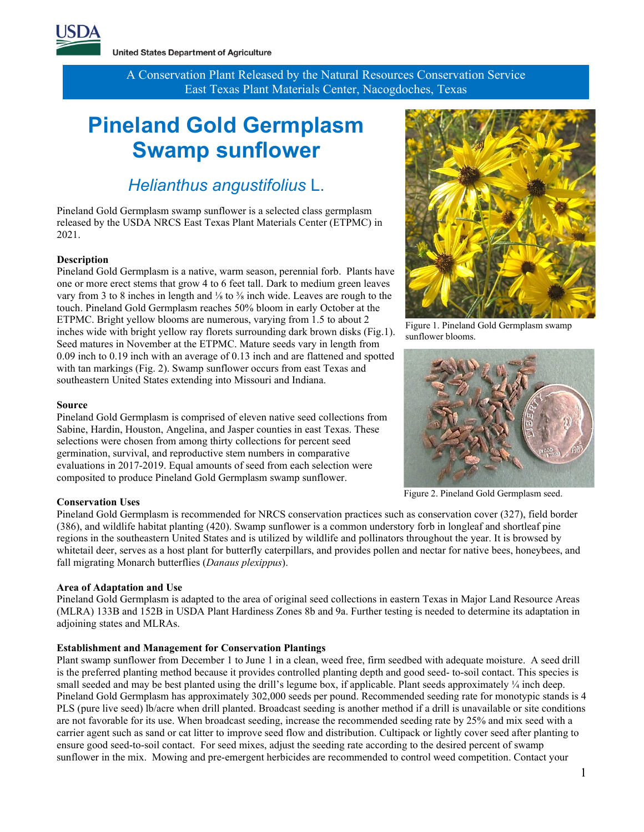

**United States Department of Agriculture** 

A Conservation Plant Released by the Natural Resources Conservation Service East Texas Plant Materials Center, Nacogdoches, Texas

# **Pineland Gold Germplasm Swamp sunflower**

### *Helianthus angustifolius* L.

Pineland Gold Germplasm swamp sunflower is a selected class germplasm released by the USDA NRCS East Texas Plant Materials Center (ETPMC) in 2021.

#### **Description**

Pineland Gold Germplasm is a native, warm season, perennial forb. Plants have one or more erect stems that grow 4 to 6 feet tall. Dark to medium green leaves vary from 3 to 8 inches in length and <sup>1</sup>/<sub>8</sub> to <sup>3</sup>/<sub>8</sub> inch wide. Leaves are rough to the touch. Pineland Gold Germplasm reaches 50% bloom in early October at the ETPMC. Bright yellow blooms are numerous, varying from 1.5 to about 2 inches wide with bright yellow ray florets surrounding dark brown disks (Fig.1). Seed matures in November at the ETPMC. Mature seeds vary in length from 0.09 inch to 0.19 inch with an average of 0.13 inch and are flattened and spotted with tan markings (Fig. 2). Swamp sunflower occurs from east Texas and southeastern United States extending into Missouri and Indiana.

#### **Source**

Pineland Gold Germplasm is comprised of eleven native seed collections from Sabine, Hardin, Houston, Angelina, and Jasper counties in east Texas. These selections were chosen from among thirty collections for percent seed germination, survival, and reproductive stem numbers in comparative evaluations in 2017-2019. Equal amounts of seed from each selection were composited to produce Pineland Gold Germplasm swamp sunflower.

#### **Conservation Uses**

Pineland Gold Germplasm is recommended for NRCS conservation practices such as conservation cover (327), field border (386), and wildlife habitat planting (420). Swamp sunflower is a common understory forb in longleaf and shortleaf pine regions in the southeastern United States and is utilized by wildlife and pollinators throughout the year. It is browsed by whitetail deer, serves as a host plant for butterfly caterpillars, and provides pollen and nectar for native bees, honeybees, and fall migrating Monarch butterflies (*Danaus plexippus*).

#### **Area of Adaptation and Use**

Pineland Gold Germplasm is adapted to the area of original seed collections in eastern Texas in Major Land Resource Areas (MLRA) 133B and 152B in USDA Plant Hardiness Zones 8b and 9a. Further testing is needed to determine its adaptation in adjoining states and MLRAs.

#### **Establishment and Management for Conservation Plantings**

Plant swamp sunflower from December 1 to June 1 in a clean, weed free, firm seedbed with adequate moisture. A seed drill is the preferred planting method because it provides controlled planting depth and good seed- to-soil contact. This species is small seeded and may be best planted using the drill's legume box, if applicable. Plant seeds approximately ¼ inch deep. Pineland Gold Germplasm has approximately 302,000 seeds per pound. Recommended seeding rate for monotypic stands is 4 PLS (pure live seed) lb/acre when drill planted. Broadcast seeding is another method if a drill is unavailable or site conditions are not favorable for its use. When broadcast seeding, increase the recommended seeding rate by 25% and mix seed with a carrier agent such as sand or cat litter to improve seed flow and distribution. Cultipack or lightly cover seed after planting to ensure good seed-to-soil contact. For seed mixes, adjust the seeding rate according to the desired percent of swamp sunflower in the mix. Mowing and pre-emergent herbicides are recommended to control weed competition. Contact your



Figure 1. Pineland Gold Germplasm swamp sunflower blooms.



Figure 2. Pineland Gold Germplasm seed.